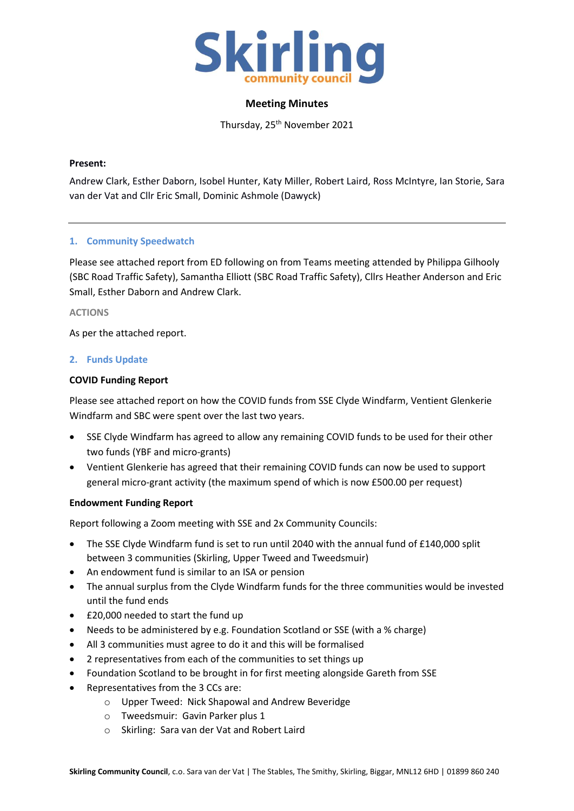

### **Meeting Minutes**

Thursday, 25<sup>th</sup> November 2021

### **Present:**

Andrew Clark, Esther Daborn, Isobel Hunter, Katy Miller, Robert Laird, Ross McIntyre, Ian Storie, Sara van der Vat and Cllr Eric Small, Dominic Ashmole (Dawyck)

## **1. Community Speedwatch**

Please see attached report from ED following on from Teams meeting attended by Philippa Gilhooly (SBC Road Traffic Safety), Samantha Elliott (SBC Road Traffic Safety), Cllrs Heather Anderson and Eric Small, Esther Daborn and Andrew Clark.

#### **ACTIONS**

As per the attached report.

#### **2. Funds Update**

#### **COVID Funding Report**

Please see attached report on how the COVID funds from SSE Clyde Windfarm, Ventient Glenkerie Windfarm and SBC were spent over the last two years.

- SSE Clyde Windfarm has agreed to allow any remaining COVID funds to be used for their other two funds (YBF and micro-grants)
- Ventient Glenkerie has agreed that their remaining COVID funds can now be used to support general micro-grant activity (the maximum spend of which is now £500.00 per request)

#### **Endowment Funding Report**

Report following a Zoom meeting with SSE and 2x Community Councils:

- The SSE Clyde Windfarm fund is set to run until 2040 with the annual fund of £140,000 split between 3 communities (Skirling, Upper Tweed and Tweedsmuir)
- An endowment fund is similar to an ISA or pension
- The annual surplus from the Clyde Windfarm funds for the three communities would be invested until the fund ends
- £20,000 needed to start the fund up
- Needs to be administered by e.g. Foundation Scotland or SSE (with a % charge)
- All 3 communities must agree to do it and this will be formalised
- 2 representatives from each of the communities to set things up
- Foundation Scotland to be brought in for first meeting alongside Gareth from SSE
- Representatives from the 3 CCs are:
	- o Upper Tweed: Nick Shapowal and Andrew Beveridge
	- o Tweedsmuir: Gavin Parker plus 1
	- o Skirling: Sara van der Vat and Robert Laird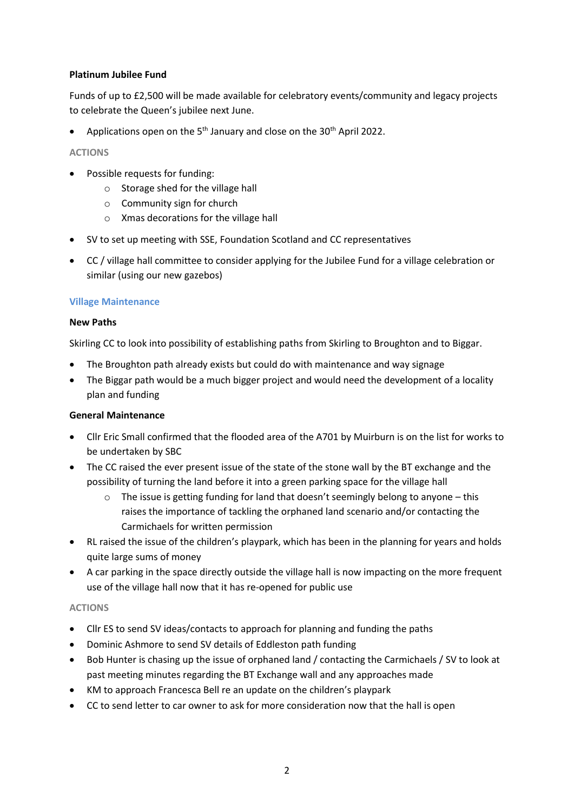## **Platinum Jubilee Fund**

Funds of up to £2,500 will be made available for celebratory events/community and legacy projects to celebrate the Queen's jubilee next June.

• Applications open on the 5<sup>th</sup> January and close on the 30<sup>th</sup> April 2022.

### **ACTIONS**

- Possible requests for funding:
	- o Storage shed for the village hall
	- o Community sign for church
	- o Xmas decorations for the village hall
- SV to set up meeting with SSE, Foundation Scotland and CC representatives
- CC / village hall committee to consider applying for the Jubilee Fund for a village celebration or similar (using our new gazebos)

#### **Village Maintenance**

#### **New Paths**

Skirling CC to look into possibility of establishing paths from Skirling to Broughton and to Biggar.

- The Broughton path already exists but could do with maintenance and way signage
- The Biggar path would be a much bigger project and would need the development of a locality plan and funding

#### **General Maintenance**

- Cllr Eric Small confirmed that the flooded area of the A701 by Muirburn is on the list for works to be undertaken by SBC
- The CC raised the ever present issue of the state of the stone wall by the BT exchange and the possibility of turning the land before it into a green parking space for the village hall
	- $\circ$  The issue is getting funding for land that doesn't seemingly belong to anyone this raises the importance of tackling the orphaned land scenario and/or contacting the Carmichaels for written permission
- RL raised the issue of the children's playpark, which has been in the planning for years and holds quite large sums of money
- A car parking in the space directly outside the village hall is now impacting on the more frequent use of the village hall now that it has re-opened for public use

#### **ACTIONS**

- Cllr ES to send SV ideas/contacts to approach for planning and funding the paths
- Dominic Ashmore to send SV details of Eddleston path funding
- Bob Hunter is chasing up the issue of orphaned land / contacting the Carmichaels / SV to look at past meeting minutes regarding the BT Exchange wall and any approaches made
- KM to approach Francesca Bell re an update on the children's playpark
- CC to send letter to car owner to ask for more consideration now that the hall is open